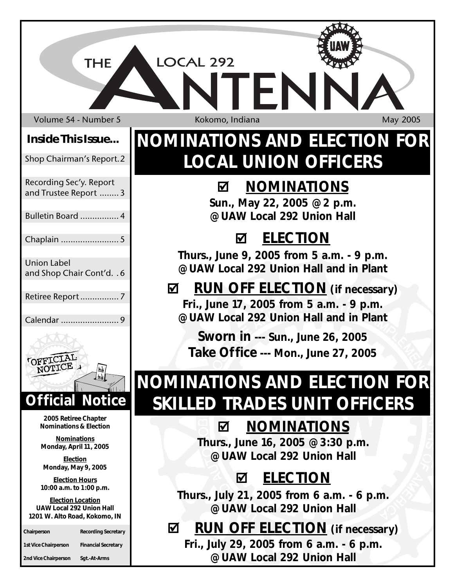Volume 54 - Number 5 Kokomo, Indiana May 2005

**THE** 

## **Inside This Issue...**

### Shop Chairman's Report.2

Recording Sec'y. Report and Trustee Report ........3

### Bulletin Board ................ 4

Chaplain ........................ 5

### Union Label and Shop Chair Cont'd. . 6

Retiree Report................ 7

Calendar ........................ 9



**2005 Retiree Chapter Nominations & Election**

**Nominations Monday, April 11, 2005**

**Election Monday, May 9, 2005**

**Election Hours 10:00 a.m. to 1:00 p.m.**

**Election Location UAW Local 292 Union Hall 1201 W. Alto Road, Kokomo, IN**

| Chairperson                 | Recording Secretary        |
|-----------------------------|----------------------------|
| <b>1st Vice Chairperson</b> | <b>Financial Secretary</b> |
| 2nd Vice Chairperson        | Sgt.-At-Arms               |

LOCAL 292

# **NOMINATIONS AND ELECTION FOR LOCAL UNION OFFICERS**

FN

# ; **NOMINATIONS**

**Sun., May 22, 2005 @ 2 p.m. @ UAW Local 292 Union Hall**

# ; **ELECTION**

**Thurs., June 9, 2005 from 5 a.m. - 9 p.m. @ UAW Local 292 Union Hall and in Plant**

## ; **RUN OFF ELECTION (if necessary) Fri., June 17, 2005 from 5 a.m. - 9 p.m. @ UAW Local 292 Union Hall and in Plant**

**Sworn in --- Sun., June 26, 2005 Take Office --- Mon., June 27, 2005**

# **NOMINATIONS AND ELECTION FOR SKILLED TRADES UNIT OFFICERS**

# ; **NOMINATIONS**

**Thurs., June 16, 2005 @ 3:30 p.m. @ UAW Local 292 Union Hall**

# ; **ELECTION**

**Thurs., July 21, 2005 from 6 a.m. - 6 p.m. @ UAW Local 292 Union Hall**

# ; **RUN OFF ELECTION (if necessary)**

**Fri., July 29, 2005 from 6 a.m. - 6 p.m. @ UAW Local 292 Union Hall**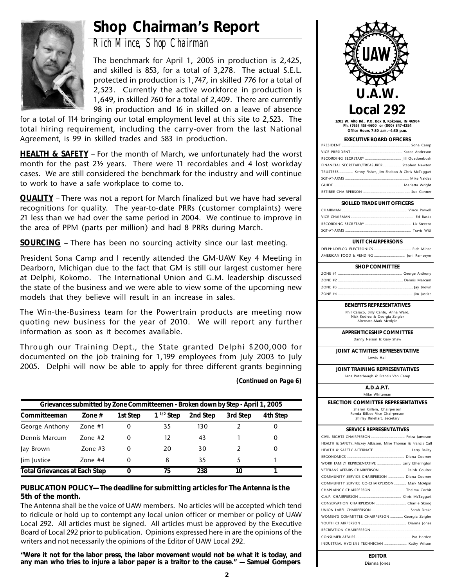# **Shop Chairman's Report**



*Rich Mince, Shop Chairman*

The benchmark for April 1, 2005 in production is 2,425, and skilled is 853, for a total of 3,278. The actual S.E.L. protected in production is 1,747, in skilled 776 for a total of 2,523. Currently the active workforce in production is 1,649, in skilled 760 for a total of 2,409. There are currently 98 in production and 16 in skilled on a leave of absence

for a total of 114 bringing our total employment level at this site to 2,523. The total hiring requirement, including the carry-over from the last National Agreement, is 99 in skilled trades and 583 in production.

**HEALTH & SAFETY** – For the month of March, we unfortunately had the worst month for the past 2½ years. There were 11 recordables and 4 lost workday cases. We are still considered the benchmark for the industry and will continue to work to have a safe workplace to come to.

**QUALITY** – There was not a report for March finalized but we have had several recognitions for quality. The year-to-date PRRs (customer complaints) were 21 less than we had over the same period in 2004. We continue to improve in the area of PPM (parts per million) and had 8 PRRs during March.

**SOURCING** – There has been no sourcing activity since our last meeting.

President Sona Camp and I recently attended the GM-UAW Key 4 Meeting in Dearborn, Michigan due to the fact that GM is still our largest customer here at Delphi, Kokomo. The International Union and G.M. leadership discussed the state of the business and we were able to view some of the upcoming new models that they believe will result in an increase in sales.

The Win-the-Business team for the Powertrain products are meeting now quoting new business for the year of 2010. We will report any further information as soon as it becomes available.

Through our Training Dept., the State granted Delphi \$200,000 for documented on the job training for 1,199 employees from July 2003 to July 2005. Delphi will now be able to apply for three different grants beginning

*(Continued on Page 6)*

| Grievances submitted by Zone Committeemen - Broken down by Step - April 1, 2005 |           |          |                |          |          |          |
|---------------------------------------------------------------------------------|-----------|----------|----------------|----------|----------|----------|
| Committeeman                                                                    | Zone $#$  | 1st Step | $1^{1/2}$ Step | 2nd Step | 3rd Step | 4th Step |
| George Anthony                                                                  | Zone $#1$ | 0        | 35             | 130      |          |          |
| Dennis Marcum                                                                   | 7one #2   | $\Omega$ | 12             | 43       |          |          |
| Jay Brown                                                                       | Zone $#3$ | 0        | 20             | 30       |          |          |
| lim lustice                                                                     | Zone $#4$ | $\Omega$ | 8              | 35       | 5        |          |
| <b>Total Grievances at Each Step</b>                                            |           | 0        | 75             | 238      | 10       |          |

### **PUBLICATION POLICY— The deadline for submitting articles for The Antenna is the 5th of the month.**

The Antenna shall be the voice of UAW members. No articles will be accepted which tend to ridicule or hold up to contempt any local union officer or member or policy of UAW Local 292. All articles must be signed. All articles must be approved by the Executive Board of Local 292 prior to publication. Opinions expressed here in are the opinions of the writers and not necessarily the opinions of the Editor of UAW Local 292.

**"Were it not for the labor press, the labor movement would not be what it is today, and any man who tries to injure a labor paper is a traitor to the cause." — Samuel Gompers**



**1201 W. Alto Rd., P.O. Box B, Kokomo, IN 46904 Ph. (765) 453-4600 or (800) 347-4254 Office Hours 7:30 a.m.—4:30 p.m.**

#### **EXECUTIVE BOARD OFFICERS**

| FINANCIAL SECRETARY/TREASURER  Stephen Newton         |
|-------------------------------------------------------|
| TRUSTEES  Kenny Fisher, Jim Shelton & Chris McTaggart |
|                                                       |
|                                                       |
|                                                       |

#### **SKILLED TRADE UNIT OFFICERS**

#### **UNIT CHAIRPERSONS**

DELPHI-DELCO ELECTRONICS ..................................... Rich Mince AMERICAN FOOD & VENDING ............................... Joni Ramseyer

### **SHOP COMMITTEE**

### **BENEFITS REPRESENTATIVES**

Phil Caraco, Billy Cantu, Anna Ward, Nick Kodrea & Georgia Zeigler Alternate-Mark McAlpin

**APPRENTICESHIP COMMITTEE** Danny Nelson & Gary Shaw

**JOINT ACTIVITIES REPRESENTATIVE** Lewis Hall

**JOINT TRAINING REPRESENTATIVES** Lana Puterbaugh & Francis Van Camp

### **A.D.A.P.T.**

Mike Whiteman

**ELECTION COMMITTEE REPRESENTATIVES** Sharon Gillem, Chairperson

Ronda Bilbee Vice Chairperson Shirley Rinehart, Secretary

### **SERVICE REPRESENTATIVES**

| HEALTH & SAFETYMickey Atkisson, Mike Thomas & Francis Call |
|------------------------------------------------------------|
|                                                            |
|                                                            |
| WORK FAMILY REPRESENTATIVE  Larry Etherington              |
| VETERANS AFFAIRS CHAIRPERSON  Ralph Coulter                |
| COMMUNITY SERVICE CHAIRPERSON  Diana Coomer                |
| COMMUNITY SERVICE CO-CHAIRPERSON  Mark McAlpin             |
| CHAPLAINCY CHAIRPERSON  Thelma Corbit                      |
|                                                            |
| CONSERVATION CHAIRPERSON  Charlie Skoog                    |
|                                                            |
| WOMEN'S COMMITTEE CHAIRPERSON  Georgia Zeigler             |
|                                                            |
|                                                            |
|                                                            |
| INDUSTRIAL HYGIENE TECHNICIAN  Kathy Wilson                |
|                                                            |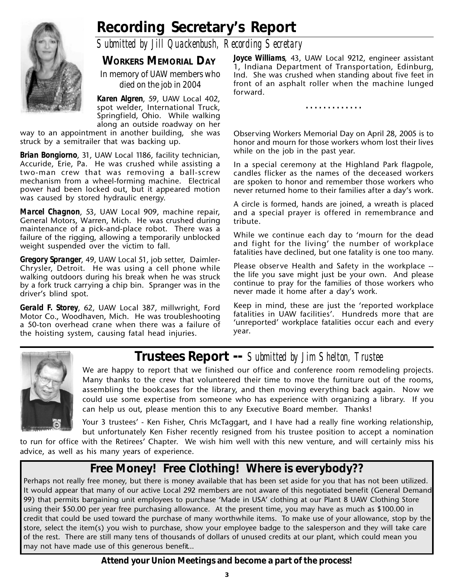# **Recording Secretary's Report**

*Submitted by Jill Quackenbush, Recording Secretary*

**WORKERS MEMORIAL DAY**

*In memory of UAW members who died on the job in 2004*

*Karen Algren*, 59, UAW Local 402, spot welder, International Truck, Springfield, Ohio. While walking along an outside roadway on her

way to an appointment in another building, she was struck by a semitrailer that was backing up.

*Brian Bongiorno*, 31, UAW Local 1186, facility technician, Accuride, Erie, Pa. He was crushed while assisting a two-man crew that was removing a ball-screw mechanism from a wheel-forming machine. Electrical power had been locked out, but it appeared motion was caused by stored hydraulic energy.

*Marcel Chagnon*, 53, UAW Local 909, machine repair, General Motors, Warren, Mich. He was crushed during maintenance of a pick-and-place robot. There was a failure of the rigging, allowing a temporarily unblocked weight suspended over the victim to fall.

*Gregory Spranger*, 49, UAW Local 51, job setter, Daimler-Chrysler, Detroit. He was using a cell phone while walking outdoors during his break when he was struck by a fork truck carrying a chip bin. Spranger was in the driver's blind spot.

*Gerald F. Storey*, 62, UAW Local 387, millwright, Ford Motor Co., Woodhaven, Mich. He was troubleshooting a 50-ton overhead crane when there was a failure of the hoisting system, causing fatal head injuries.

*Joyce Williams*, 43, UAW Local 9212, engineer assistant 1, Indiana Department of Transportation, Edinburg, Ind. She was crushed when standing about five feet in front of an asphalt roller when the machine lunged forward.

**. . . . . . . . . . . . .**

Observing Workers Memorial Day on April 28, 2005 is to honor and mourn for those workers whom lost their lives while on the job in the past year.

In a special ceremony at the Highland Park flagpole, candles flicker as the names of the deceased workers are spoken to honor and remember those workers who never returned home to their families after a day's work.

A circle is formed, hands are joined, a wreath is placed and a special prayer is offered in remembrance and tribute.

While we continue each day to 'mourn for the dead and fight for the living' the number of workplace fatalities have declined, but one fatality is one too many.

Please observe Health and Safety in the workplace - the life you save might just be your own. And please continue to pray for the families of those workers who never made it home after a day's work.

Keep in mind, these are just the 'reported workplace fatalities in UAW facilities'. Hundreds more that are 'unreported' workplace fatalities occur each and every year.



## **Trustees Report --** *Submitted by Jim Shelton, Trustee*

We are happy to report that we finished our office and conference room remodeling projects. Many thanks to the crew that volunteered their time to move the furniture out of the rooms, assembling the bookcases for the library, and then moving everything back again. Now we could use some expertise from someone who has experience with organizing a library. If you can help us out, please mention this to any Executive Board member. Thanks!

Your 3 trustees' - Ken Fisher, Chris McTaggart, and I have had a really fine working relationship, but unfortunately Ken Fisher recently resigned from his trustee position to accept a nomination

to run for office with the Retirees' Chapter. We wish him well with this new venture, and will certainly miss his advice, as well as his many years of experience.

## **Free Money! Free Clothing! Where is everybody??**

Perhaps not really free money, but there is money available that has been set aside for you that has not been utilized. It would appear that many of our active Local 292 members are not aware of this negotiated benefit (General Demand 99) that permits bargaining unit employees to purchase 'Made in USA' clothing at our Plant 8 UAW Clothing Store using their \$50.00 per year free purchasing allowance. At the present time, you may have as much as \$100.00 in credit that could be used toward the purchase of many worthwhile items. To make use of your allowance, stop by the store, select the item(s) you wish to purchase, show your employee badge to the salesperson and they will take care of the rest. There are still many tens of thousands of dollars of unused credits at our plant, which could mean you may not have made use of this generous benefit…

### **Attend your Union Meetings and become a part of the process!**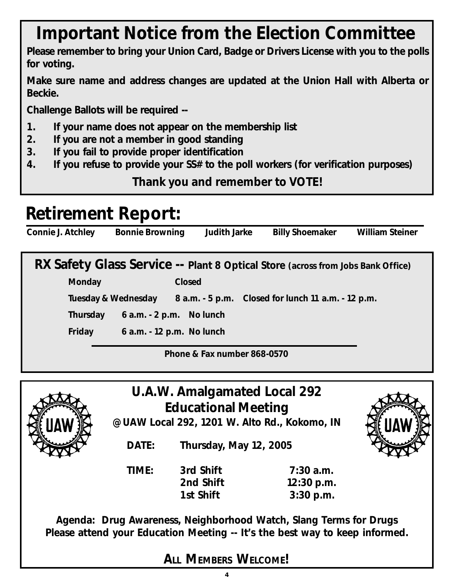# **Important Notice from the Election Committee**

**Please remember to bring your Union Card, Badge or Drivers License with you to the polls for voting.**

**Make sure name and address changes are updated at the Union Hall with Alberta or Beckie.**

**Challenge Ballots will be required --**

- **1. If your name does not appear on the membership list**
- **2. If you are not a member in good standing**
- **3. If you fail to provide proper identification**
- **4. If you refuse to provide your SS# to the poll workers (for verification purposes)**

**Thank you and remember to VOTE!**

# **Retirement Report:**

**Connie J. Atchley Bonnie Browning Judith Jarke Billy Shoemaker William Steiner**

**RX Safety Glass Service -- Plant 8 Optical Store (across from Jobs Bank Office)**

**Monday Closed**

**Tuesday & Wednesday 8 a.m. - 5 p.m. Closed for lunch 11 a.m. - 12 p.m.**

**Thursday 6 a.m. - 2 p.m. No lunch**

**Friday 6 a.m. - 12 p.m. No lunch**

**Phone & Fax number 868-0570**



**U.A.W. Amalgamated Local 292 Educational Meeting**

**@ UAW Local 292, 1201 W. Alto Rd., Kokomo, IN**

**DATE: Thursday, May 12, 2005**

**TIME: 3rd Shift 7:30 a.m. 2nd Shift 12:30 p.m. 1st Shift 3:30 p.m.**

**Agenda: Drug Awareness, Neighborhood Watch, Slang Terms for Drugs Please attend your Education Meeting -- It's the best way to keep informed.**

**ALL MEMBERS WELCOME!**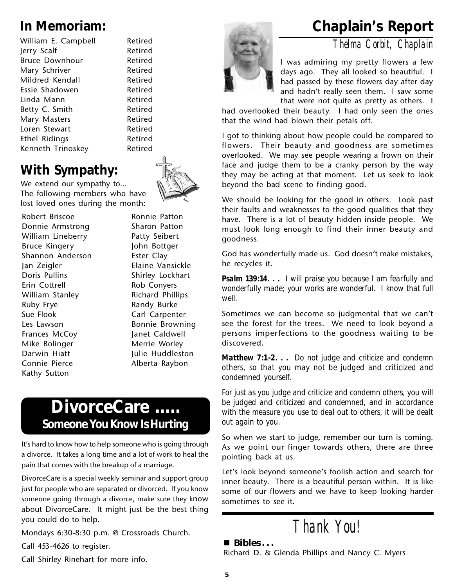William E. Campbell Retired Jerry Scalf Retired Bruce Downhour Retired Mary Schriver **Retired** Mildred Kendall **Retired** Essie Shadowen and Retired Linda Mann Retired Betty C. Smith Retired Mary Masters **Retired** Loren Stewart **Retired** Ethel Ridings **Retired** Kenneth Trinoskey Retired

# **With Sympathy:**

We extend our sympathy to… The following members who have lost loved ones during the month:

Robert Briscoe Donnie Armstrong William Lineberry Bruce Kingery Shannon Anderson Jan Zeigler Doris Pullins Erin Cottrell William Stanley Ruby Frye Sue Flook Les Lawson Frances McCoy Mike Bolinger Darwin Hiatt Connie Pierce Kathy Sutton

Sharon Patton Patty Seibert John Bottger Ester Clay Elaine Vansickle Shirley Lockhart Rob Conyers Richard Phillips Randy Burke Carl Carpenter Bonnie Browning Janet Caldwell Merrie Worley Julie Huddleston Alberta Raybon

Ronnie Patton

# **DivorceCare ..... Someone You Know Is Hurting**

It's hard to know how to help someone who is going through a divorce. It takes a long time and a lot of work to heal the pain that comes with the breakup of a marriage.

DivorceCare is a special weekly seminar and support group just for people who are separated or divorced. If you know someone going through a divorce, make sure they know about DivorceCare. It might just be the best thing you could do to help.

Mondays 6:30-8:30 p.m. @ Crossroads Church.

Call 453-4626 to register.

Call Shirley Rinehart for more info.



# **In Memoriam: Chaplain's Report**

*Thelma Corbit, Chaplain*

I was admiring my pretty flowers a few days ago. They all looked so beautiful. I had passed by these flowers day after day and hadn't really seen them. I saw some that were not quite as pretty as others. I

had overlooked their beauty. I had only seen the ones that the wind had blown their petals off.

I got to thinking about how people could be compared to flowers. Their beauty and goodness are sometimes overlooked. We may see people wearing a frown on their face and judge them to be a cranky person by the way they may be acting at that moment. Let us seek to look beyond the bad scene to finding good.

We should be looking for the good in others. Look past their faults and weaknesses to the good qualities that they have. There is a lot of beauty hidden inside people. We must look long enough to find their inner beauty and goodness.

God has wonderfully made us. God doesn't make mistakes, he recycles it.

*Psalm 139:14. . . I will praise you because I am fearfully and wonderfully made; your works are wonderful. I know that full well.*

Sometimes we can become so judgmental that we can't see the forest for the trees. We need to look beyond a persons imperfections to the goodness waiting to be discovered.

*Matthew 7:1-2. . . Do not judge and criticize and condemn others, so that you may not be judged and criticized and condemned yourself.*

*For just as you judge and criticize and condemn others, you will be judged and criticized and condemned, and in accordance with the measure you use to deal out to others, it will be dealt out again to you.*

So when we start to judge, remember our turn is coming. As we point our finger towards others, there are three pointing back at us.

Let's look beyond someone's foolish action and search for inner beauty. There is a beautiful person within. It is like some of our flowers and we have to keep looking harder sometimes to see it.

*Thank You!*

 **Bibles . . .**

Richard D. & Glenda Phillips and Nancy C. Myers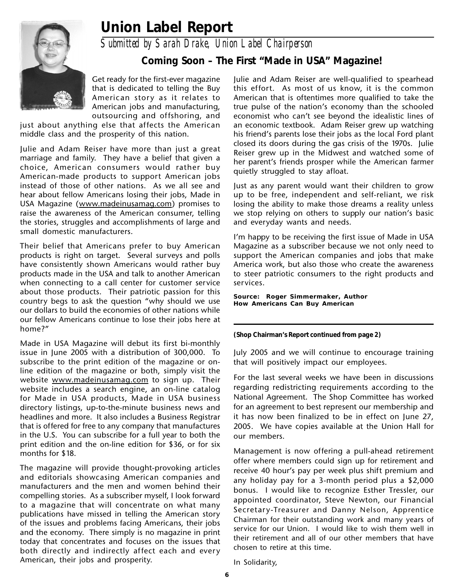# **Union Label Report**



*Submitted by Sarah Drake, Union Label Chairperson*

### **Coming Soon – The First "Made in USA" Magazine!**

Get ready for the first-ever magazine that is dedicated to telling the Buy American story as it relates to American jobs and manufacturing, outsourcing and offshoring, and

just about anything else that affects the American middle class and the prosperity of this nation.

Julie and Adam Reiser have more than just a great marriage and family. They have a belief that given a choice, American consumers would rather buy American-made products to support American jobs instead of those of other nations. As we all see and hear about fellow Americans losing their jobs, Made in USA Magazine (www.madeinusamag.com) promises to raise the awareness of the American consumer, telling the stories, struggles and accomplishments of large and small domestic manufacturers.

Their belief that Americans prefer to buy American products is right on target. Several surveys and polls have consistently shown Americans would rather buy products made in the USA and talk to another American when connecting to a call center for customer service about those products. Their patriotic passion for this country begs to ask the question "why should we use our dollars to build the economies of other nations while our fellow Americans continue to lose their jobs here at home?"

Made in USA Magazine will debut its first bi-monthly issue in June 2005 with a distribution of 300,000. To subscribe to the print edition of the magazine or online edition of the magazine or both, simply visit the website www.madeinusamag.com to sign up. Their website includes a search engine, an on-line catalog for Made in USA products, Made in USA business directory listings, up-to-the-minute business news and headlines and more. It also includes a Business Registrar that is offered for free to any company that manufactures in the U.S. You can subscribe for a full year to both the print edition and the on-line edition for \$36, or for six months for \$18.

The magazine will provide thought-provoking articles and editorials showcasing American companies and manufacturers and the men and women behind their compelling stories. As a subscriber myself, I look forward to a magazine that will concentrate on what many publications have missed in telling the American story of the issues and problems facing Americans, their jobs and the economy. There simply is no magazine in print today that concentrates and focuses on the issues that both directly and indirectly affect each and every American, their jobs and prosperity.

Julie and Adam Reiser are well-qualified to spearhead this effort. As most of us know, it is the common American that is oftentimes more qualified to take the true pulse of the nation's economy than the schooled economist who can't see beyond the idealistic lines of an economic textbook. Adam Reiser grew up watching his friend's parents lose their jobs as the local Ford plant closed its doors during the gas crisis of the 1970s. Julie Reiser grew up in the Midwest and watched some of her parent's friends prosper while the American farmer quietly struggled to stay afloat.

Just as any parent would want their children to grow up to be free, independent and self-reliant, we risk losing the ability to make those dreams a reality unless we stop relying on others to supply our nation's basic and everyday wants and needs.

I'm happy to be receiving the first issue of Made in USA Magazine as a subscriber because we not only need to support the American companies and jobs that make America work, but also those who create the awareness to steer patriotic consumers to the right products and services.

*Source: Roger Simmermaker, Author How Americans Can Buy American*

**(Shop Chairman's Report continued from page 2)**

July 2005 and we will continue to encourage training that will positively impact our employees.

For the last several weeks we have been in discussions regarding redistricting requirements according to the National Agreement. The Shop Committee has worked for an agreement to best represent our membership and it has now been finalized to be in effect on June 27, 2005. We have copies available at the Union Hall for our members.

Management is now offering a pull-ahead retirement offer where members could sign up for retirement and receive 40 hour's pay per week plus shift premium and any holiday pay for a 3-month period plus a \$2,000 bonus. I would like to recognize Esther Tressler, our appointed coordinator, Steve Newton, our Financial Secretary-Treasurer and Danny Nelson, Apprentice Chairman for their outstanding work and many years of service for our Union. I would like to wish them well in their retirement and all of our other members that have chosen to retire at this time.

In Solidarity,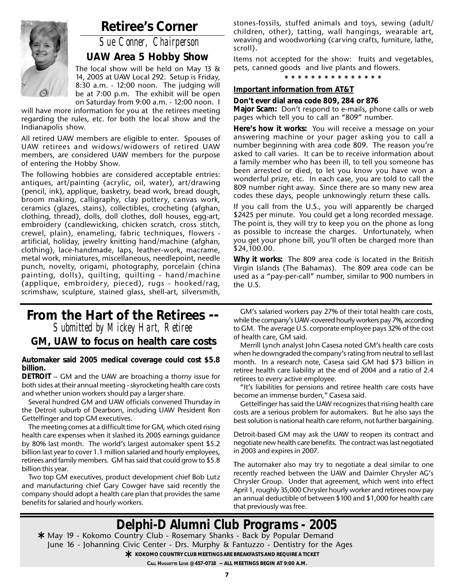

## **Retiree's Corner**

*Sue Conner, Chairperson*

### **UAW Area 5 Hobby Show**

The local show will be held on May 13 & 14, 2005 at UAW Local 292. Setup is Friday, 8:30 a.m. - 12:00 noon. The judging will be at 7:00 p.m. The exhibit will be open on Saturday from 9:00 a.m. - 12:00 noon. I

will have more information for you at the retirees meeting regarding the rules, etc. for both the local show and the Indianapolis show.

All retired UAW members are eligible to enter. Spouses of UAW retirees and widows/widowers of retired UAW members, are considered UAW members for the purpose of entering the Hobby Show.

The following hobbies are considered acceptable entries: antiques, art/painting (acrylic, oil, water), art/drawing (pencil, ink), applique, basketry, bead work, bread dough, broom making, calligraphy, clay pottery, canvas work, ceramics (glazes, stains), collectibles, crocheting (afghan, clothing, thread), dolls, doll clothes, doll houses, egg-art, embroidery (candlewicking, chicken scratch, cross stitch, crewel, plain), enameling, fabric techniques, flowers artificial, holiday, jewelry knitting hand/machine (afghan, clothing), lace-handmade, laps, leather-work, macrame, metal work, miniatures, miscellaneous, needlepoint, needle punch, novelty, origami, photography, porcelain (china painting, dolls), quilting, quilting - hand/machine (applique, embroidery, pieced), rugs - hooked/rag, scrimshaw, sculpture, stained glass, shell-art, silversmith,

### **From the Hart of the Retirees --** *Submitted by Mickey Hart, Retiree* **GM, UAW to focus on health care costs**

**Automaker said 2005 medical coverage could cost \$5.8 billion.**

**DETROIT** -- GM and the UAW are broaching a thorny issue for both sides at their annual meeting - skyrocketing health care costs and whether union workers should pay a larger share.

Several hundred GM and UAW officials convened Thursday in the Detroit suburb of Dearborn, including UAW President Ron Gettelfinger and top GM executives.

The meeting comes at a difficult time for GM, which cited rising health care expenses when it slashed its 2005 earnings guidance by 80% last month. The world's largest automaker spent \$5.2 billion last year to cover 1.1 million salaried and hourly employees, retirees and family members. GM has said that could grow to \$5.8 billion this year.

Two top GM executives, product development chief Bob Lutz and manufacturing chief Gary Cowger have said recently the company should adopt a health care plan that provides the same benefits for salaried and hourly workers.

stones-fossils, stuffed animals and toys, sewing (adult/ children, other), tatting, wall hangings, wearable art, weaving and woodworking (carving crafts, furniture, lathe, scroll).

Items not accepted for the show: fruits and vegetables, pets, canned goods and live plants and flowers.

**\* \* \* \* \* \* \* \* \* \* \* \* \* \* \***

### **Important information from AT&T**

**Don't ever dial area code 809, 284 or 876**

**Major Scam:** Don't respond to e-mails, phone calls or web pages which tell you to call an "809" number.

**Here's how it works:** You will receive a message on your answering machine or your pager asking you to call a number beginning with area code 809. The reason you're asked to call varies. It can be to receive information about a family member who has been ill, to tell you someone has been arrested or died, to let you know you have won a wonderful prize, etc. In each case, you are told to call the 809 number right away. Since there are so many new area codes these days, people unknowingly return these calls.

If you call from the U.S., you will apparently be charged \$2425 per minute. You could get a long recorded message. The point is, they will try to keep you on the phone as long as possible to increase the charges. Unfortunately, when you get your phone bill, you'll often be charged more than \$24,100.00.

**Why it works:** The 809 area code is located in the British Virgin Islands (The Bahamas). The 809 area code can be used as a "pay-per-call" number, similar to 900 numbers in the U.S.

GM's salaried workers pay 27% of their total health care costs, while the company's UAW-covered hourly workers pay 7%, according to GM. The average U.S. corporate employee pays 32% of the cost of health care, GM said.

Merrill Lynch analyst John Casesa noted GM's health care costs when he downgraded the company's rating from neutral to sell last month. In a research note, Casesa said GM had \$73 billion in retiree health care liability at the end of 2004 and a ratio of 2.4 retirees to every active employee.

"It's liabilities for pensions and retiree health care costs have become an immense burden," Casesa said.

Gettelfinger has said the UAW recognizes that rising health care costs are a serious problem for automakers. But he also says the best solution is national health care reform, not further bargaining.

Detroit-based GM may ask the UAW to reopen its contract and negotiate new health care benefits. The contract was last negotiated in 2003 and expires in 2007.

The automaker also may try to negotiate a deal similar to one recently reached between the UAW and Daimler Chrysler AG's Chrysler Group. Under that agreement, which went into effect April 1, roughly 35,000 Chrysler hourly worker and retirees now pay an annual deductible of between \$100 and \$1,000 for health care that previously was free.

## *Delphi-D Alumni Club Programs - 2005*

May 19 - Kokomo Country Club - Rosemary Shanks - Back by Popular Demand **\*** June 16 - Johanning Civic Center - Drs. Murphy & Fantuzzo - Dentistry for the Ages **★** KOKOMO COUNTRY CLUB MEETINGS ARE BREAKFASTS AND REQUIRE A TICKET<br>CALL HUGUETTE LOVE @ 457-0718 -- ALL MEETINGS BEGIN AT 9:00 A.M.

**CALL HUGUETTE LOVE @ 457-0718 -- ALL MEETINGS BEGIN AT 9:00 A.M.**